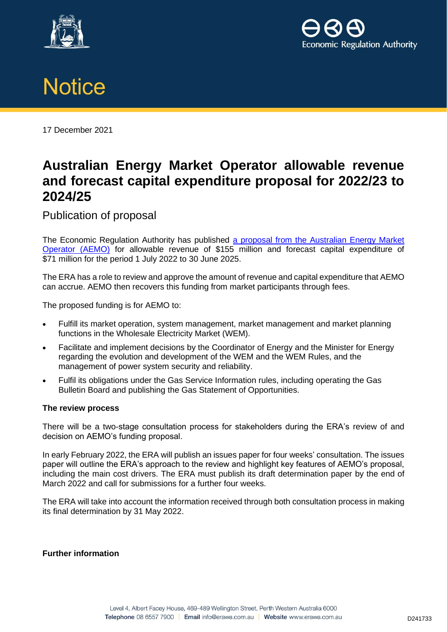





17 December 2021

## **Australian Energy Market Operator allowable revenue and forecast capital expenditure proposal for 2022/23 to 2024/25**

Publication of proposal

The Economic Regulation Authority has published [a proposal from the Australian Energy Market](https://www.erawa.com.au/electricity/wholesale-electricity-market/annual-price-setting/allowable-revenue-and-forecast-capital-expenditure-determinations)  [Operator \(AEMO\)](https://www.erawa.com.au/electricity/wholesale-electricity-market/annual-price-setting/allowable-revenue-and-forecast-capital-expenditure-determinations) for allowable revenue of \$155 million and forecast capital expenditure of \$71 million for the period 1 July 2022 to 30 June 2025.

The ERA has a role to review and approve the amount of revenue and capital expenditure that AEMO can accrue. AEMO then recovers this funding from market participants through fees.

The proposed funding is for AEMO to:

- Fulfill its market operation, system management, market management and market planning functions in the Wholesale Electricity Market (WEM).
- Facilitate and implement decisions by the Coordinator of Energy and the Minister for Energy regarding the evolution and development of the WEM and the WEM Rules, and the management of power system security and reliability.
- Fulfil its obligations under the Gas Service Information rules, including operating the Gas Bulletin Board and publishing the Gas Statement of Opportunities.

## **The review process**

There will be a two-stage consultation process for stakeholders during the ERA's review of and decision on AEMO's funding proposal.

In early February 2022, the ERA will publish an issues paper for four weeks' consultation. The issues paper will outline the ERA's approach to the review and highlight key features of AEMO's proposal, including the main cost drivers. The ERA must publish its draft determination paper by the end of March 2022 and call for submissions for a further four weeks.

The ERA will take into account the information received through both consultation process in making its final determination by 31 May 2022.

## **Further information**